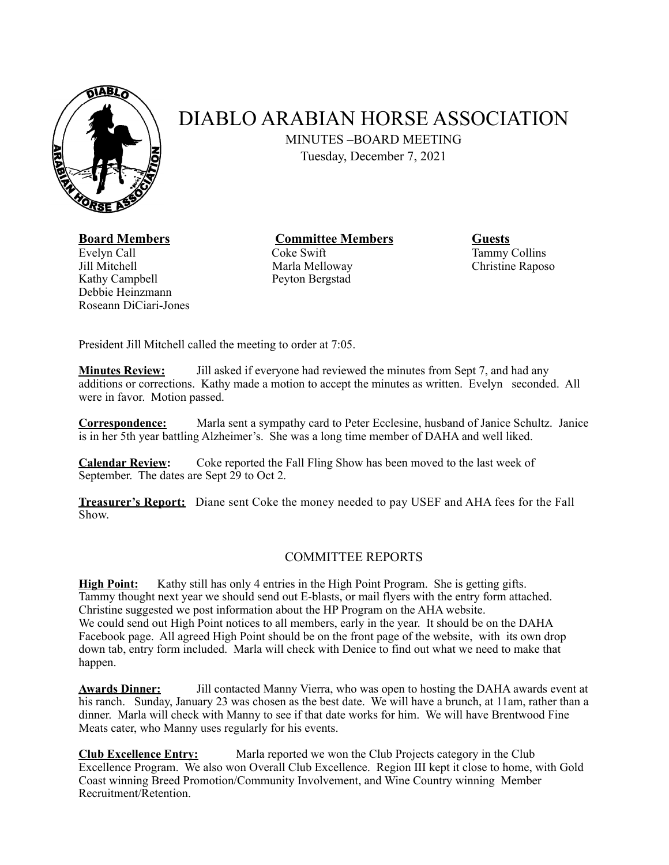

## DIABLO ARABIAN HORSE ASSOCIATION

MINUTES –BOARD MEETING

Tuesday, December 7, 2021

## **Board Members Committee Members Guests**

Evelyn Call **Coke Swift** Tammy Collins Jill Mitchell **Marla Melloway** Christine Raposo Kathy Campbell Peyton Bergstad Debbie Heinzmann Roseann DiCiari-Jones

President Jill Mitchell called the meeting to order at 7:05.

**Minutes Review:** Jill asked if everyone had reviewed the minutes from Sept 7, and had any additions or corrections. Kathy made a motion to accept the minutes as written. Evelyn seconded. All were in favor. Motion passed.

**Correspondence:** Marla sent a sympathy card to Peter Ecclesine, husband of Janice Schultz. Janice is in her 5th year battling Alzheimer's. She was a long time member of DAHA and well liked.

**Calendar Review:** Coke reported the Fall Fling Show has been moved to the last week of September. The dates are Sept 29 to Oct 2.

**Treasurer's Report:** Diane sent Coke the money needed to pay USEF and AHA fees for the Fall Show.

## COMMITTEE REPORTS

**High Point:** Kathy still has only 4 entries in the High Point Program. She is getting gifts. Tammy thought next year we should send out E-blasts, or mail flyers with the entry form attached. Christine suggested we post information about the HP Program on the AHA website. We could send out High Point notices to all members, early in the year. It should be on the DAHA Facebook page. All agreed High Point should be on the front page of the website, with its own drop down tab, entry form included. Marla will check with Denice to find out what we need to make that happen.

**Awards Dinner:** Jill contacted Manny Vierra, who was open to hosting the DAHA awards event at his ranch. Sunday, January 23 was chosen as the best date. We will have a brunch, at 11am, rather than a dinner. Marla will check with Manny to see if that date works for him. We will have Brentwood Fine Meats cater, who Manny uses regularly for his events.

**Club Excellence Entry:** Marla reported we won the Club Projects category in the Club Excellence Program. We also won Overall Club Excellence. Region III kept it close to home, with Gold Coast winning Breed Promotion/Community Involvement, and Wine Country winning Member Recruitment/Retention.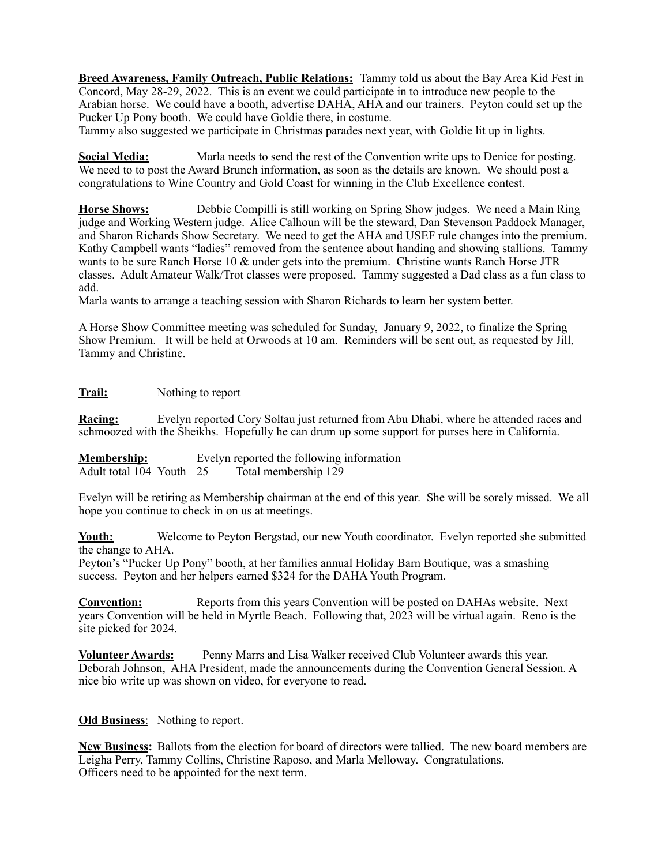**Breed Awareness, Family Outreach, Public Relations:** Tammy told us about the Bay Area Kid Fest in Concord, May 28-29, 2022. This is an event we could participate in to introduce new people to the Arabian horse. We could have a booth, advertise DAHA, AHA and our trainers. Peyton could set up the Pucker Up Pony booth. We could have Goldie there, in costume.

Tammy also suggested we participate in Christmas parades next year, with Goldie lit up in lights.

**Social Media:** Marla needs to send the rest of the Convention write ups to Denice for posting. We need to to post the Award Brunch information, as soon as the details are known. We should post a congratulations to Wine Country and Gold Coast for winning in the Club Excellence contest.

**Horse Shows:** Debbie Compilli is still working on Spring Show judges. We need a Main Ring judge and Working Western judge. Alice Calhoun will be the steward, Dan Stevenson Paddock Manager, and Sharon Richards Show Secretary. We need to get the AHA and USEF rule changes into the premium. Kathy Campbell wants "ladies" removed from the sentence about handing and showing stallions. Tammy wants to be sure Ranch Horse 10 & under gets into the premium. Christine wants Ranch Horse JTR classes. Adult Amateur Walk/Trot classes were proposed. Tammy suggested a Dad class as a fun class to add.

Marla wants to arrange a teaching session with Sharon Richards to learn her system better.

A Horse Show Committee meeting was scheduled for Sunday, January 9, 2022, to finalize the Spring Show Premium. It will be held at Orwoods at 10 am. Reminders will be sent out, as requested by Jill, Tammy and Christine.

**Trail:** Nothing to report

**Racing:** Evelyn reported Cory Soltau just returned from Abu Dhabi, where he attended races and schmoozed with the Sheikhs. Hopefully he can drum up some support for purses here in California.

**Membership:** Evelyn reported the following information<br>Adult total 104 Youth 25 Total membership 129 Adult total  $104$  Youth 25

Evelyn will be retiring as Membership chairman at the end of this year. She will be sorely missed. We all hope you continue to check in on us at meetings.

**Youth:** Welcome to Peyton Bergstad, our new Youth coordinator. Evelyn reported she submitted the change to AHA.

Peyton's "Pucker Up Pony" booth, at her families annual Holiday Barn Boutique, was a smashing success. Peyton and her helpers earned \$324 for the DAHA Youth Program.

**Convention:** Reports from this years Convention will be posted on DAHAs website. Next years Convention will be held in Myrtle Beach. Following that, 2023 will be virtual again. Reno is the site picked for 2024.

**Volunteer Awards:** Penny Marrs and Lisa Walker received Club Volunteer awards this year. Deborah Johnson, AHA President, made the announcements during the Convention General Session. A nice bio write up was shown on video, for everyone to read.

**Old Business**: Nothing to report.

**New Business:** Ballots from the election for board of directors were tallied. The new board members are Leigha Perry, Tammy Collins, Christine Raposo, and Marla Melloway. Congratulations. Officers need to be appointed for the next term.